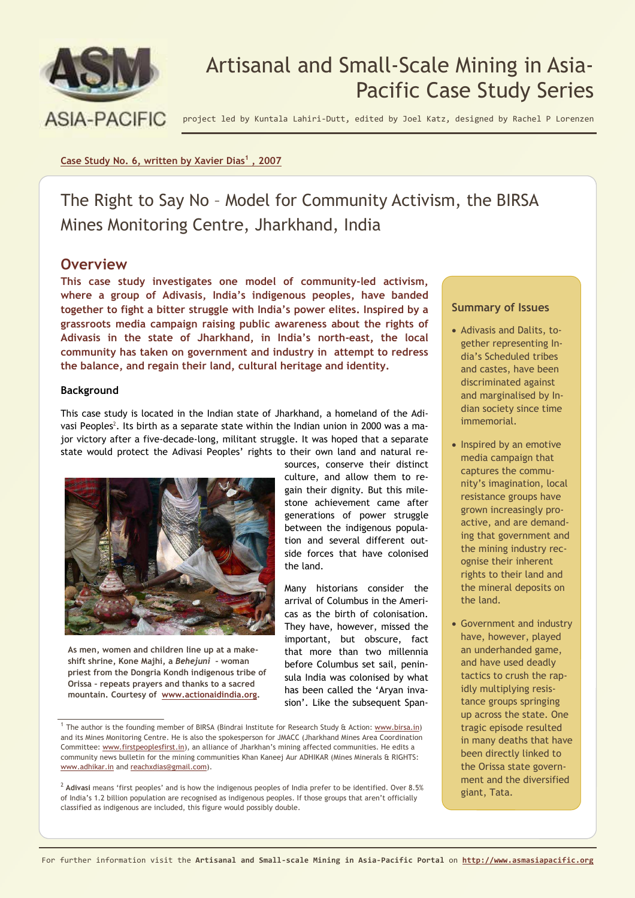

# Artisanal and Small-Scale Mining in Asia-Pacific Case Study Series

project led by Kuntala Lahiri-Dutt, edited by Joel Katz, designed by Rachel P Lorenzen

#### **Case Study No. 6, written by Xavier Dias<sup>1</sup> , 2007**

The Right to Say No – Model for Community Activism, the BIRSA Mines Monitoring Centre, Jharkhand, India

### **Overview**

**This case study investigates one model of community-led activism, where a group of Adivasis, India's indigenous peoples, have banded together to fight a bitter struggle with India's power elites. Inspired by a grassroots media campaign raising public awareness about the rights of Adivasis in the state of Jharkhand, in India's north-east, the local community has taken on government and industry in attempt to redress the balance, and regain their land, cultural heritage and identity.**

#### **Background**

This case study is located in the Indian state of Jharkhand, a homeland of the Adivasi Peoples<sup>2</sup>. Its birth as a separate state within the Indian union in 2000 was a major victory after a five-decade-long, militant struggle. It was hoped that a separate state would protect the Adivasi Peoples' rights to their own land and natural re-



**As men, women and children line up at a makeshift shrine, Kone Majhi, a** *Behejuni* **– woman priest from the Dongria Kondh indigenous tribe of Orissa – repeats prayers and thanks to a sacred mountain. Courtesy of www.actionaidindia.org.** 

<sup>1</sup> The author is the founding member of BIRSA (Bindrai Institute for Research Study & Action: www.birsa.in) and its Mines Monitoring Centre. He is also the spokesperson for JMACC (Jharkhand Mines Area Coordination Committee: www.firstpeoplesfirst.in), an alliance of Jharkhan's mining affected communities. He edits a community news bulletin for the mining communities Khan Kaneej Aur ADHIKAR (Mines Minerals & RIGHTS: www.adhikar.in and reachxdias@gmail.com).

#### **Summary of Issues**

- Adivasis and Dalits, together representing India's Scheduled tribes and castes, have been discriminated against and marginalised by Indian society since time immemorial.
- Inspired by an emotive media campaign that captures the community's imagination, local resistance groups have grown increasingly proactive, and are demanding that government and the mining industry recognise their inherent rights to their land and the mineral deposits on the land.
- Government and industry have, however, played an underhanded game, and have used deadly tactics to crush the rapidly multiplying resistance groups springing up across the state. One tragic episode resulted in many deaths that have been directly linked to the Orissa state government and the diversified giant, Tata.

that more than two millennia before Columbus set sail, peninsula India was colonised by what has been called the 'Aryan invasion'. Like the subsequent Span-

<sup>&</sup>lt;sup>2</sup> Adivasi means 'first peoples' and is how the indigenous peoples of India prefer to be identified. Over 8.5% of India's 1.2 billion population are recognised as indigenous peoples. If those groups that aren't officially classified as indigenous are included, this figure would possibly double.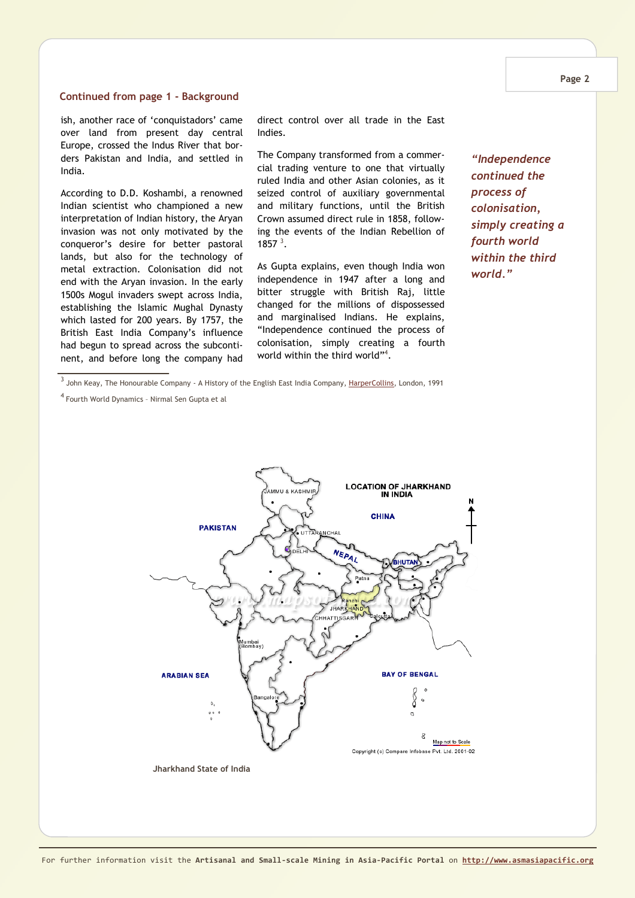#### **Continued from page 1 - Background**

ish, another race of 'conquistadors' came over land from present day central Europe, crossed the Indus River that borders Pakistan and India, and settled in India.

According to D.D. Koshambi, a renowned Indian scientist who championed a new interpretation of Indian history, the Aryan invasion was not only motivated by the conqueror's desire for better pastoral lands, but also for the technology of metal extraction. Colonisation did not end with the Aryan invasion. In the early 1500s Mogul invaders swept across India, establishing the Islamic Mughal Dynasty which lasted for 200 years. By 1757, the British East India Company's influence had begun to spread across the subcontinent, and before long the company had direct control over all trade in the East Indies.

The Company transformed from a commercial trading venture to one that virtually ruled India and other Asian colonies, as it seized control of auxiliary governmental and military functions, until the British Crown assumed direct rule in 1858, following the events of the Indian Rebellion of 1857 $^3$ .

As Gupta explains, even though India won independence in 1947 after a long and bitter struggle with British Raj, little changed for the millions of dispossessed and marginalised Indians. He explains, "Independence continued the process of colonisation, simply creating a fourth world within the third world"<sup>4</sup> .

*"Independence continued the process of colonisation, simply creating a fourth world within the third world."* 

<sup>3</sup> John Keay, The Honourable Company - A History of the English East India Company, <u>HarperCollins</u>, London, 1991

<sup>4</sup>Fourth World Dynamics – Nirmal Sen Gupta et al

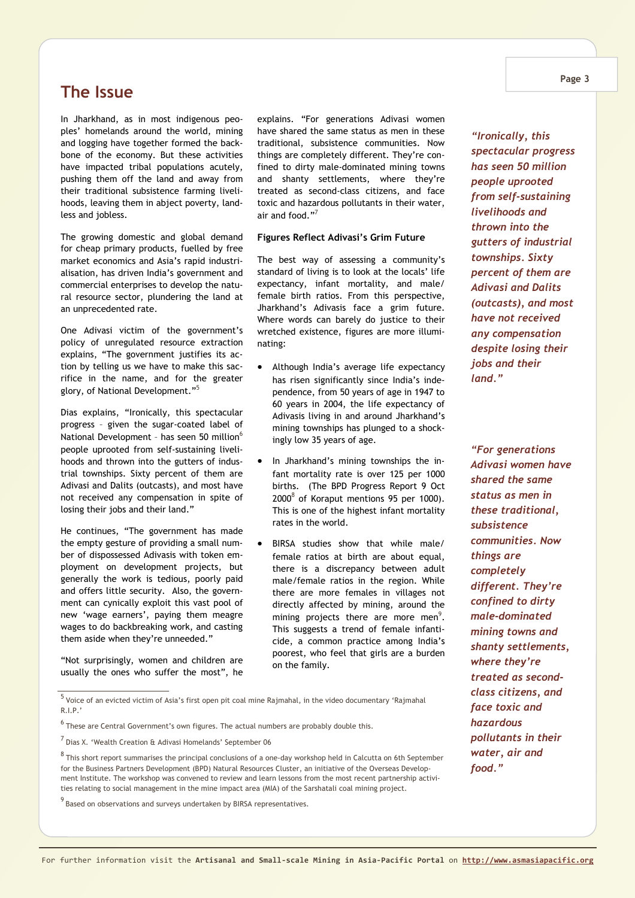### **The Issue**

In Jharkhand, as in most indigenous peoples' homelands around the world, mining and logging have together formed the backbone of the economy. But these activities have impacted tribal populations acutely, pushing them off the land and away from their traditional subsistence farming livelihoods, leaving them in abject poverty, landless and jobless.

The growing domestic and global demand for cheap primary products, fuelled by free market economics and Asia's rapid industrialisation, has driven India's government and commercial enterprises to develop the natural resource sector, plundering the land at an unprecedented rate.

One Adivasi victim of the government's policy of unregulated resource extraction explains, "The government justifies its action by telling us we have to make this sacrifice in the name, and for the greater glory, of National Development."<sup>5</sup>

Dias explains, "Ironically, this spectacular progress – given the sugar-coated label of National Development - has seen 50 million<sup>6</sup> people uprooted from self-sustaining livelihoods and thrown into the gutters of industrial townships. Sixty percent of them are Adivasi and Dalits (outcasts), and most have not received any compensation in spite of losing their jobs and their land."

He continues, "The government has made the empty gesture of providing a small number of dispossessed Adivasis with token employment on development projects, but generally the work is tedious, poorly paid and offers little security. Also, the government can cynically exploit this vast pool of new 'wage earners', paying them meagre wages to do backbreaking work, and casting them aside when they're unneeded."

"Not surprisingly, women and children are usually the ones who suffer the most", he

explains. "For generations Adivasi women have shared the same status as men in these traditional, subsistence communities. Now things are completely different. They're confined to dirty male-dominated mining towns and shanty settlements, where they're treated as second-class citizens, and face toxic and hazardous pollutants in their water, air and food." $^7$ 

#### **Figures Reflect Adivasi's Grim Future**

The best way of assessing a community's standard of living is to look at the locals' life expectancy, infant mortality, and male/ female birth ratios. From this perspective, Jharkhand's Adivasis face a grim future. Where words can barely do justice to their wretched existence, figures are more illuminating:

- Although India's average life expectancy has risen significantly since India's independence, from 50 years of age in 1947 to 60 years in 2004, the life expectancy of Adivasis living in and around Jharkhand's mining townships has plunged to a shockingly low 35 years of age.
- In Jharkhand's mining townships the infant mortality rate is over 125 per 1000 births. (The BPD Progress Report 9 Oct  $2000^8$  of Koraput mentions 95 per 1000). This is one of the highest infant mortality rates in the world.
- BIRSA studies show that while male/ female ratios at birth are about equal, there is a discrepancy between adult male/female ratios in the region. While there are more females in villages not directly affected by mining, around the mining projects there are more men $^{9}$ . This suggests a trend of female infanticide, a common practice among India's poorest, who feel that girls are a burden on the family.

 $<sup>5</sup>$  Voice of an evicted victim of Asia's first open pit coal mine Rajmahal, in the video documentary 'Rajmahal</sup> R.I.P.'

 $<sup>6</sup>$  These are Central Government's own figures. The actual numbers are probably double this.</sup>

 $<sup>7</sup>$  Dias X. 'Wealth Creation & Adivasi Homelands' September 06</sup>

<sup>8</sup> This short report summarises the principal conclusions of a one-day workshop held in Calcutta on 6th September for the Business Partners Development (BPD) Natural Resources Cluster, an initiative of the Overseas Development Institute. The workshop was convened to review and learn lessons from the most recent partnership activities relating to social management in the mine impact area (MIA) of the Sarshatali coal mining project.

<sup>9</sup> Based on observations and surveys undertaken by BIRSA representatives.

*"Ironically, this spectacular progress has seen 50 million people uprooted from self-sustaining livelihoods and thrown into the gutters of industrial townships. Sixty percent of them are Adivasi and Dalits (outcasts), and most have not received any compensation despite losing their jobs and their land."* 

*"For generations Adivasi women have shared the same status as men in these traditional, subsistence communities. Now things are completely different. They're confined to dirty male-dominated mining towns and shanty settlements, where they're treated as secondclass citizens, and face toxic and hazardous pollutants in their water, air and food."*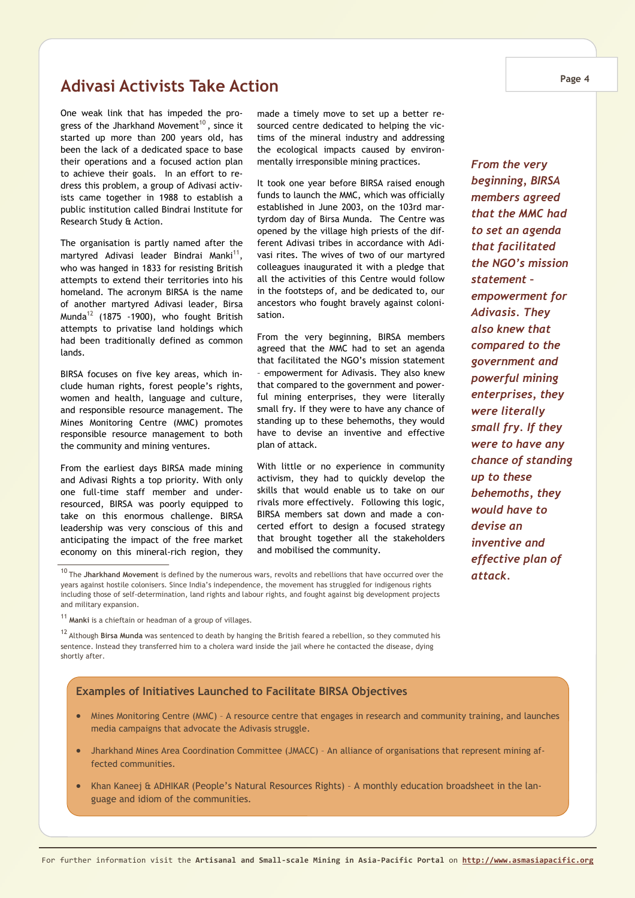### **Adivasi Activists Take Action**

One weak link that has impeded the progress of the Jharkhand Movement<sup>10</sup>, since it started up more than 200 years old, has been the lack of a dedicated space to base their operations and a focused action plan to achieve their goals. In an effort to redress this problem, a group of Adivasi activists came together in 1988 to establish a public institution called Bindrai Institute for Research Study & Action.

The organisation is partly named after the martyred Adivasi leader Bindrai Manki<sup>11</sup>, who was hanged in 1833 for resisting British attempts to extend their territories into his homeland. The acronym BIRSA is the name of another martyred Adivasi leader, Birsa Munda<sup>12</sup> (1875 -1900), who fought British attempts to privatise land holdings which had been traditionally defined as common lands.

BIRSA focuses on five key areas, which include human rights, forest people's rights, women and health, language and culture, and responsible resource management. The Mines Monitoring Centre (MMC) promotes responsible resource management to both the community and mining ventures.

From the earliest days BIRSA made mining and Adivasi Rights a top priority. With only one full-time staff member and underresourced, BIRSA was poorly equipped to take on this enormous challenge. BIRSA leadership was very conscious of this and anticipating the impact of the free market economy on this mineral-rich region, they made a timely move to set up a better resourced centre dedicated to helping the victims of the mineral industry and addressing the ecological impacts caused by environmentally irresponsible mining practices.

It took one year before BIRSA raised enough funds to launch the MMC, which was officially established in June 2003, on the 103rd martyrdom day of Birsa Munda. The Centre was opened by the village high priests of the different Adivasi tribes in accordance with Adivasi rites. The wives of two of our martyred colleagues inaugurated it with a pledge that all the activities of this Centre would follow in the footsteps of, and be dedicated to, our ancestors who fought bravely against colonisation.

From the very beginning, BIRSA members agreed that the MMC had to set an agenda that facilitated the NGO's mission statement – empowerment for Adivasis. They also knew that compared to the government and powerful mining enterprises, they were literally small fry. If they were to have any chance of standing up to these behemoths, they would have to devise an inventive and effective plan of attack.

With little or no experience in community activism, they had to quickly develop the skills that would enable us to take on our rivals more effectively. Following this logic, BIRSA members sat down and made a concerted effort to design a focused strategy that brought together all the stakeholders and mobilised the community.

#### **Examples of Initiatives Launched to Facilitate BIRSA Objectives**

- Mines Monitoring Centre (MMC) A resource centre that engages in research and community training, and launches media campaigns that advocate the Adivasis struggle.
- Jharkhand Mines Area Coordination Committee (JMACC) An alliance of organisations that represent mining affected communities.
- Khan Kaneej & ADHIKAR (People's Natural Resources Rights) A monthly education broadsheet in the language and idiom of the communities.

*beginning, BIRSA members agreed that the MMC had to set an agenda that facilitated the NGO's mission statement – empowerment for Adivasis. They also knew that compared to the government and powerful mining enterprises, they were literally small fry. If they were to have any chance of standing up to these behemoths, they would have to devise an inventive and effective plan of attack.* 

*From the very* 

<sup>10</sup> The **Jharkhand Movement** is defined by the numerous wars, revolts and rebellions that have occurred over the years against hostile colonisers. Since India's independence, the movement has struggled for indigenous rights including those of self-determination, land rights and labour rights, and fought against big development projects and military expansion.

<sup>11</sup>**Manki** is a chieftain or headman of a group of villages.

<sup>12</sup> Although **Birsa Munda** was sentenced to death by hanging the British feared a rebellion, so they commuted his sentence. Instead they transferred him to a cholera ward inside the jail where he contacted the disease, dying shortly after.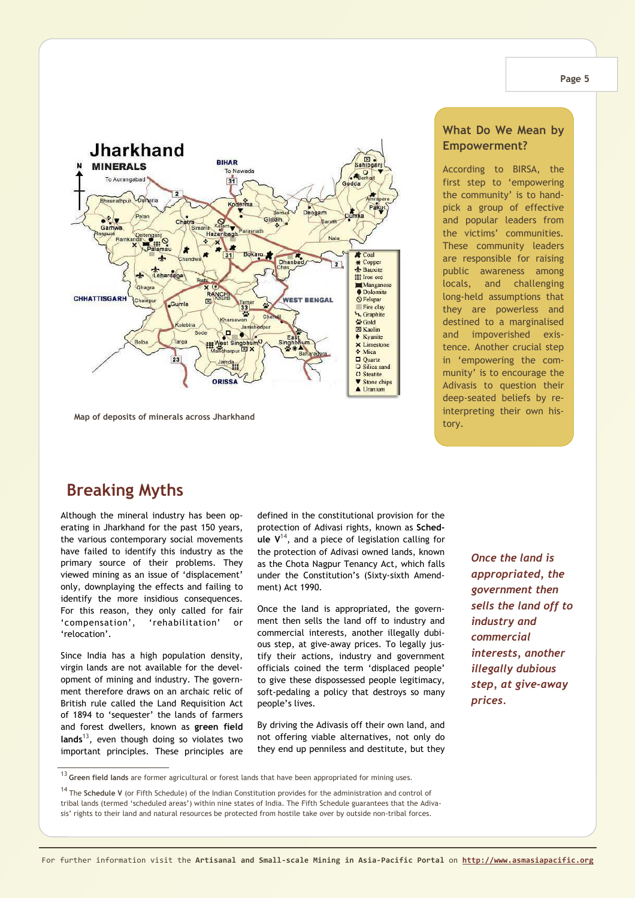

**Map of deposits of minerals across Jharkhand** 

### **Breaking Myths**

Although the mineral industry has been operating in Jharkhand for the past 150 years, the various contemporary social movements have failed to identify this industry as the primary source of their problems. They viewed mining as an issue of 'displacement' only, downplaying the effects and failing to identify the more insidious consequences. For this reason, they only called for fair 'compensation', 'rehabilitation' or 'relocation'.

Since India has a high population density, virgin lands are not available for the development of mining and industry. The government therefore draws on an archaic relic of British rule called the Land Requisition Act of 1894 to 'sequester' the lands of farmers and forest dwellers, known as **green field lands**<sup>13</sup>, even though doing so violates two important principles. These principles are

defined in the constitutional provision for the protection of Adivasi rights, known as **Schedule V**<sup>14</sup>, and a piece of legislation calling for the protection of Adivasi owned lands, known as the Chota Nagpur Tenancy Act, which falls under the Constitution's (Sixty-sixth Amendment) Act 1990.

Once the land is appropriated, the government then sells the land off to industry and commercial interests, another illegally dubious step, at give-away prices. To legally justify their actions, industry and government officials coined the term 'displaced people' to give these dispossessed people legitimacy, soft-pedaling a policy that destroys so many people's lives.

By driving the Adivasis off their own land, and not offering viable alternatives, not only do they end up penniless and destitute, but they

*Once the land is appropriated, the government then sells the land off to industry and commercial interests, another illegally dubious step, at give-away prices.* 

#### **What Do We Mean by Empowerment?**

According to BIRSA, the first step to 'empowering the community' is to handpick a group of effective and popular leaders from the victims' communities. These community leaders are responsible for raising public awareness among locals, and challenging long-held assumptions that they are powerless and destined to a marginalised and impoverished existence. Another crucial step in 'empowering the community' is to encourage the Adivasis to question their deep-seated beliefs by reinterpreting their own history.

<sup>13</sup> **Green field lands** are former agricultural or forest lands that have been appropriated for mining uses.

<sup>14</sup>The **Schedule V** (or Fifth Schedule) of the Indian Constitution provides for the administration and control of tribal lands (termed 'scheduled areas') within nine states of India. The Fifth Schedule guarantees that the Adivasis' rights to their land and natural resources be protected from hostile take over by outside non-tribal forces.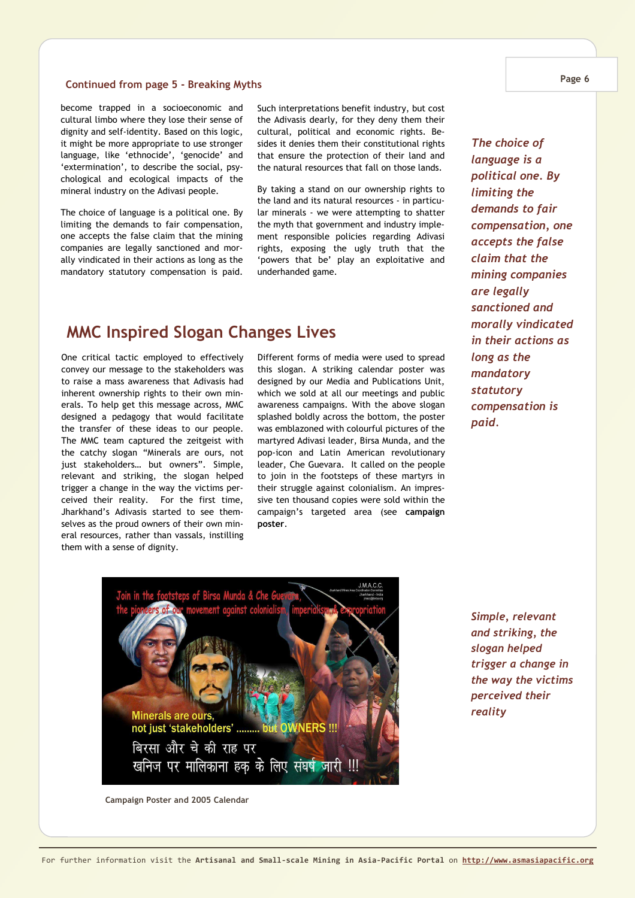### **Continued from page 5 - Breaking Myths Page 6**

become trapped in a socioeconomic and cultural limbo where they lose their sense of dignity and self-identity. Based on this logic, it might be more appropriate to use stronger language, like 'ethnocide', 'genocide' and 'extermination', to describe the social, psychological and ecological impacts of the mineral industry on the Adivasi people.

The choice of language is a political one. By limiting the demands to fair compensation, one accepts the false claim that the mining companies are legally sanctioned and morally vindicated in their actions as long as the mandatory statutory compensation is paid. Such interpretations benefit industry, but cost the Adivasis dearly, for they deny them their cultural, political and economic rights. Besides it denies them their constitutional rights that ensure the protection of their land and the natural resources that fall on those lands.

By taking a stand on our ownership rights to the land and its natural resources - in particular minerals - we were attempting to shatter the myth that government and industry implement responsible policies regarding Adivasi rights, exposing the ugly truth that the 'powers that be' play an exploitative and underhanded game.

### **MMC Inspired Slogan Changes Lives**

One critical tactic employed to effectively convey our message to the stakeholders was to raise a mass awareness that Adivasis had inherent ownership rights to their own minerals. To help get this message across, MMC designed a pedagogy that would facilitate the transfer of these ideas to our people. The MMC team captured the zeitgeist with the catchy slogan "Minerals are ours, not just stakeholders… but owners". Simple, relevant and striking, the slogan helped trigger a change in the way the victims perceived their reality. For the first time, Jharkhand's Adivasis started to see themselves as the proud owners of their own mineral resources, rather than vassals, instilling them with a sense of dignity.

Different forms of media were used to spread this slogan. A striking calendar poster was designed by our Media and Publications Unit, which we sold at all our meetings and public awareness campaigns. With the above slogan splashed boldly across the bottom, the poster was emblazoned with colourful pictures of the martyred Adivasi leader, Birsa Munda, and the pop-icon and Latin American revolutionary leader, Che Guevara. It called on the people to join in the footsteps of these martyrs in their struggle against colonialism. An impressive ten thousand copies were sold within the campaign's targeted area (see **campaign poster**.

*The choice of language is a political one. By limiting the demands to fair compensation, one accepts the false claim that the mining companies are legally sanctioned and morally vindicated in their actions as long as the mandatory statutory compensation is paid.* 



*Simple, relevant and striking, the slogan helped trigger a change in the way the victims perceived their reality* 

**Campaign Poster and 2005 Calendar**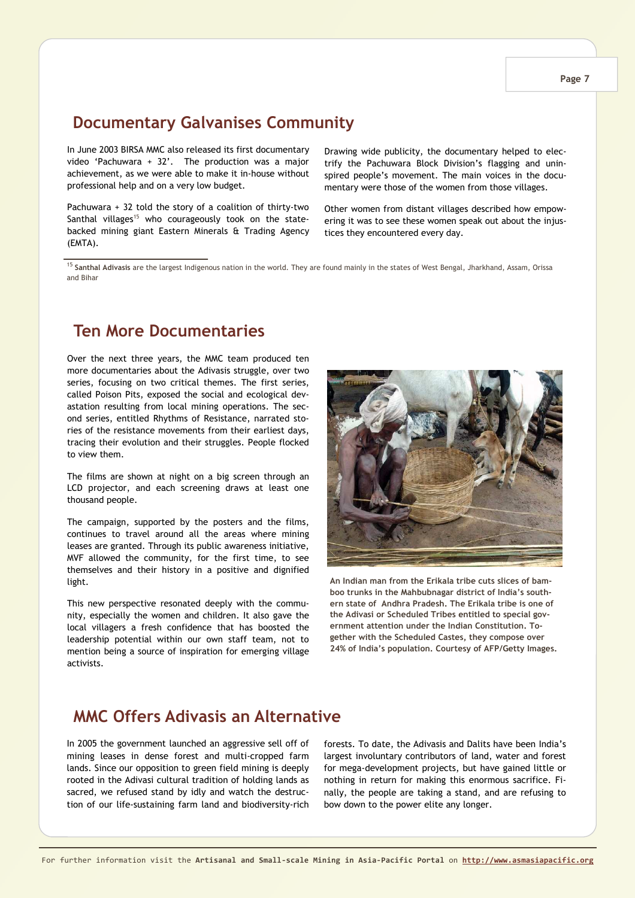### **Documentary Galvanises Community**

In June 2003 BIRSA MMC also released its first documentary video 'Pachuwara + 32'. The production was a major achievement, as we were able to make it in-house without professional help and on a very low budget.

Pachuwara + 32 told the story of a coalition of thirty-two Santhal villages<sup>15</sup> who courageously took on the statebacked mining giant Eastern Minerals & Trading Agency (EMTA).

Drawing wide publicity, the documentary helped to electrify the Pachuwara Block Division's flagging and uninspired people's movement. The main voices in the documentary were those of the women from those villages.

Other women from distant villages described how empowering it was to see these women speak out about the injustices they encountered every day.

<sup>15</sup> **Santhal Adivasis** are the largest Indigenous nation in the world. They are found mainly in the states of West Bengal, Jharkhand, Assam, Orissa and Bihar

### **Ten More Documentaries**

Over the next three years, the MMC team produced ten more documentaries about the Adivasis struggle, over two series, focusing on two critical themes. The first series, called Poison Pits, exposed the social and ecological devastation resulting from local mining operations. The second series, entitled Rhythms of Resistance, narrated stories of the resistance movements from their earliest days, tracing their evolution and their struggles. People flocked to view them.

The films are shown at night on a big screen through an LCD projector, and each screening draws at least one thousand people.

The campaign, supported by the posters and the films, continues to travel around all the areas where mining leases are granted. Through its public awareness initiative, MVF allowed the community, for the first time, to see themselves and their history in a positive and dignified light.

This new perspective resonated deeply with the community, especially the women and children. It also gave the local villagers a fresh confidence that has boosted the leadership potential within our own staff team, not to mention being a source of inspiration for emerging village activists.



**An Indian man from the Erikala tribe cuts slices of bamboo trunks in the Mahbubnagar district of India's southern state of Andhra Pradesh. The Erikala tribe is one of the Adivasi or Scheduled Tribes entitled to special government attention under the Indian Constitution. Together with the Scheduled Castes, they compose over 24% of India's population. Courtesy of AFP/Getty Images.** 

### **MMC Offers Adivasis an Alternative**

In 2005 the government launched an aggressive sell off of mining leases in dense forest and multi-cropped farm lands. Since our opposition to green field mining is deeply rooted in the Adivasi cultural tradition of holding lands as sacred, we refused stand by idly and watch the destruction of our life-sustaining farm land and biodiversity-rich

forests. To date, the Adivasis and Dalits have been India's largest involuntary contributors of land, water and forest for mega-development projects, but have gained little or nothing in return for making this enormous sacrifice. Finally, the people are taking a stand, and are refusing to bow down to the power elite any longer.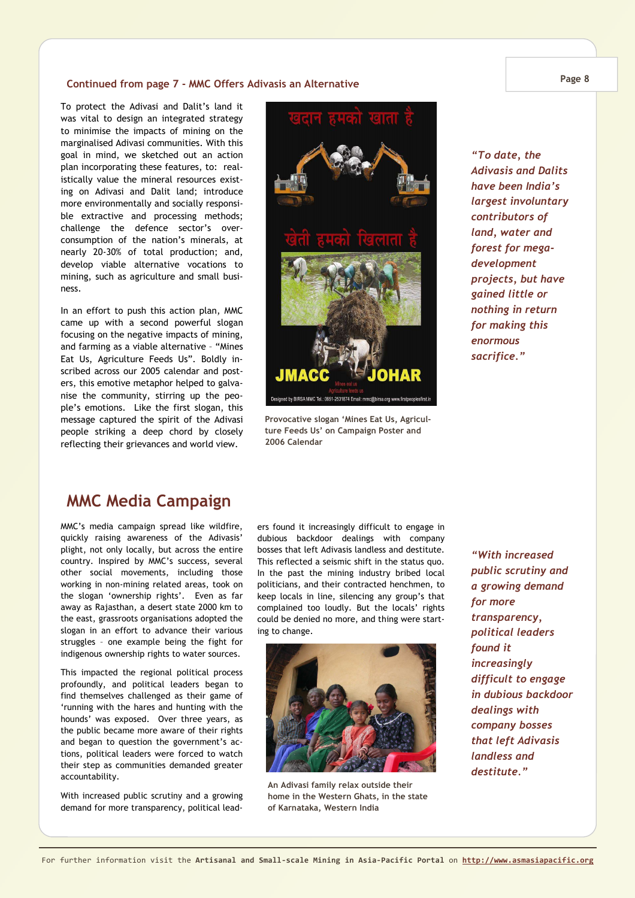#### **Continued from page 7 - MMC Offers Adivasis an Alternative**

To protect the Adivasi and Dalit's land it was vital to design an integrated strategy to minimise the impacts of mining on the marginalised Adivasi communities. With this goal in mind, we sketched out an action plan incorporating these features, to: realistically value the mineral resources existing on Adivasi and Dalit land; introduce more environmentally and socially responsible extractive and processing methods; challenge the defence sector's overconsumption of the nation's minerals, at nearly 20-30% of total production; and, develop viable alternative vocations to mining, such as agriculture and small business.

In an effort to push this action plan, MMC came up with a second powerful slogan focusing on the negative impacts of mining, and farming as a viable alternative – "Mines Eat Us, Agriculture Feeds Us". Boldly inscribed across our 2005 calendar and posters, this emotive metaphor helped to galvanise the community, stirring up the people's emotions. Like the first slogan, this message captured the spirit of the Adivasi people striking a deep chord by closely reflecting their grievances and world view.



**Provocative slogan 'Mines Eat Us, Agriculture Feeds Us' on Campaign Poster and 2006 Calendar** 

*"To date, the Adivasis and Dalits have been India's largest involuntary contributors of land, water and forest for megadevelopment projects, but have gained little or nothing in return for making this enormous sacrifice."* 

### **MMC Media Campaign**

MMC's media campaign spread like wildfire, quickly raising awareness of the Adivasis' plight, not only locally, but across the entire country. Inspired by MMC's success, several other social movements, including those working in non-mining related areas, took on the slogan 'ownership rights'. Even as far away as Rajasthan, a desert state 2000 km to the east, grassroots organisations adopted the slogan in an effort to advance their various struggles – one example being the fight for indigenous ownership rights to water sources.

This impacted the regional political process profoundly, and political leaders began to find themselves challenged as their game of 'running with the hares and hunting with the hounds' was exposed. Over three years, as the public became more aware of their rights and began to question the government's actions, political leaders were forced to watch their step as communities demanded greater accountability.

With increased public scrutiny and a growing demand for more transparency, political leaders found it increasingly difficult to engage in dubious backdoor dealings with company bosses that left Adivasis landless and destitute. This reflected a seismic shift in the status quo. In the past the mining industry bribed local politicians, and their contracted henchmen, to keep locals in line, silencing any group's that complained too loudly. But the locals' rights could be denied no more, and thing were starting to change.



**An Adivasi family relax outside their home in the Western Ghats, in the state of Karnataka, Western India**

*"With increased public scrutiny and a growing demand for more transparency, political leaders found it increasingly difficult to engage in dubious backdoor dealings with company bosses that left Adivasis landless and destitute."* 

**Page 8**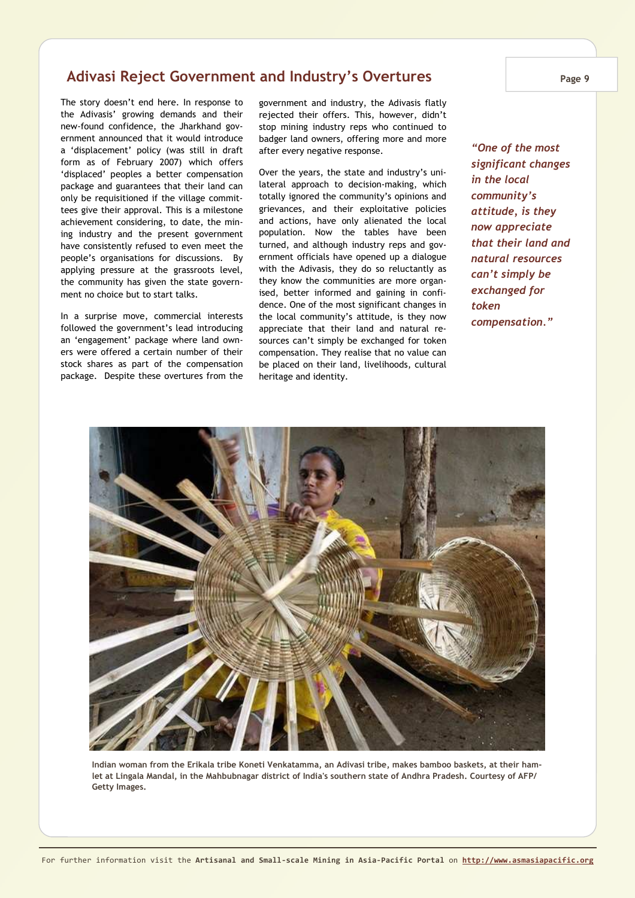### **Adivasi Reject Government and Industry's Overtures**

The story doesn't end here. In response to the Adivasis' growing demands and their new-found confidence, the Jharkhand government announced that it would introduce a 'displacement' policy (was still in draft form as of February 2007) which offers 'displaced' peoples a better compensation package and guarantees that their land can only be requisitioned if the village committees give their approval. This is a milestone achievement considering, to date, the mining industry and the present government have consistently refused to even meet the people's organisations for discussions. By applying pressure at the grassroots level, the community has given the state government no choice but to start talks.

In a surprise move, commercial interests followed the government's lead introducing an 'engagement' package where land owners were offered a certain number of their stock shares as part of the compensation package. Despite these overtures from the government and industry, the Adivasis flatly rejected their offers. This, however, didn't stop mining industry reps who continued to badger land owners, offering more and more after every negative response.

Over the years, the state and industry's unilateral approach to decision-making, which totally ignored the community's opinions and grievances, and their exploitative policies and actions, have only alienated the local population. Now the tables have been turned, and although industry reps and government officials have opened up a dialogue with the Adivasis, they do so reluctantly as they know the communities are more organised, better informed and gaining in confidence. One of the most significant changes in the local community's attitude, is they now appreciate that their land and natural resources can't simply be exchanged for token compensation. They realise that no value can be placed on their land, livelihoods, cultural heritage and identity.

*"One of the most significant changes in the local community's attitude, is they now appreciate that their land and natural resources can't simply be exchanged for token compensation."* 



**Indian woman from the Erikala tribe Koneti Venkatamma, an Adivasi tribe, makes bamboo baskets, at their hamlet at Lingala Mandal, in the Mahbubnagar district of India's southern state of Andhra Pradesh. Courtesy of AFP/ Getty Images.**

**Page 9**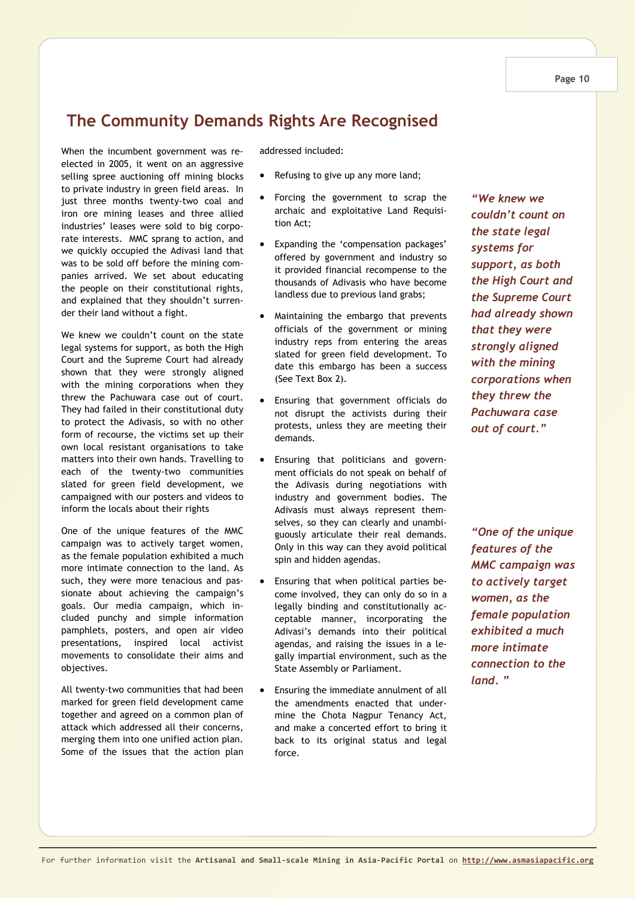*support, as both the High Court and the Supreme Court had already shown that they were strongly aligned with the mining corporations when they threw the Pachuwara case out of court."* 

*"We knew we couldn't count on the state legal systems for* 

## **The Community Demands Rights Are Recognised**

When the incumbent government was reelected in 2005, it went on an aggressive selling spree auctioning off mining blocks to private industry in green field areas. In just three months twenty-two coal and iron ore mining leases and three allied industries' leases were sold to big corporate interests. MMC sprang to action, and we quickly occupied the Adivasi land that was to be sold off before the mining companies arrived. We set about educating the people on their constitutional rights, and explained that they shouldn't surrender their land without a fight.

We knew we couldn't count on the state legal systems for support, as both the High Court and the Supreme Court had already shown that they were strongly aligned with the mining corporations when they threw the Pachuwara case out of court. They had failed in their constitutional duty to protect the Adivasis, so with no other form of recourse, the victims set up their own local resistant organisations to take matters into their own hands. Travelling to each of the twenty-two communities slated for green field development, we campaigned with our posters and videos to inform the locals about their rights

One of the unique features of the MMC campaign was to actively target women, as the female population exhibited a much more intimate connection to the land. As such, they were more tenacious and passionate about achieving the campaign's goals. Our media campaign, which included punchy and simple information pamphlets, posters, and open air video presentations, inspired local activist movements to consolidate their aims and objectives.

All twenty-two communities that had been marked for green field development came together and agreed on a common plan of attack which addressed all their concerns, merging them into one unified action plan. Some of the issues that the action plan addressed included:

- Refusing to give up any more land;
- Forcing the government to scrap the archaic and exploitative Land Requisition Act;
- Expanding the 'compensation packages' offered by government and industry so it provided financial recompense to the thousands of Adivasis who have become landless due to previous land grabs;
- Maintaining the embargo that prevents officials of the government or mining industry reps from entering the areas slated for green field development. To date this embargo has been a success (See Text Box 2).
- Ensuring that government officials do not disrupt the activists during their protests, unless they are meeting their demands.
- Ensuring that politicians and government officials do not speak on behalf of the Adivasis during negotiations with industry and government bodies. The Adivasis must always represent themselves, so they can clearly and unambiguously articulate their real demands. Only in this way can they avoid political spin and hidden agendas.
- Ensuring that when political parties become involved, they can only do so in a legally binding and constitutionally acceptable manner, incorporating the Adivasi's demands into their political agendas, and raising the issues in a legally impartial environment, such as the State Assembly or Parliament.
- Ensuring the immediate annulment of all the amendments enacted that undermine the Chota Nagpur Tenancy Act, and make a concerted effort to bring it back to its original status and legal force.

*"One of the unique features of the MMC campaign was to actively target women, as the female population exhibited a much more intimate connection to the land. "* 

#### **Page 10**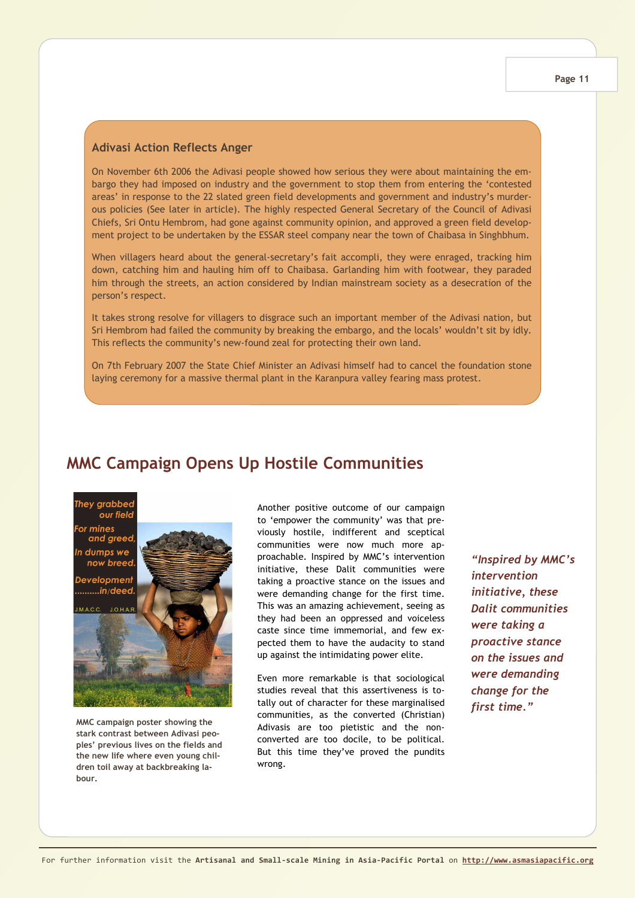#### **Adivasi Action Reflects Anger**

On November 6th 2006 the Adivasi people showed how serious they were about maintaining the embargo they had imposed on industry and the government to stop them from entering the 'contested areas' in response to the 22 slated green field developments and government and industry's murderous policies (See later in article). The highly respected General Secretary of the Council of Adivasi Chiefs, Sri Ontu Hembrom, had gone against community opinion, and approved a green field development project to be undertaken by the ESSAR steel company near the town of Chaibasa in Singhbhum.

When villagers heard about the general-secretary's fait accompli, they were enraged, tracking him down, catching him and hauling him off to Chaibasa. Garlanding him with footwear, they paraded him through the streets, an action considered by Indian mainstream society as a desecration of the person's respect.

It takes strong resolve for villagers to disgrace such an important member of the Adivasi nation, but Sri Hembrom had failed the community by breaking the embargo, and the locals' wouldn't sit by idly. This reflects the community's new-found zeal for protecting their own land.

On 7th February 2007 the State Chief Minister an Adivasi himself had to cancel the foundation stone laying ceremony for a massive thermal plant in the Karanpura valley fearing mass protest.

### **MMC Campaign Opens Up Hostile Communities**

hey grabbec our field mines and greed dumps we now breed Developmen: .......in/deed

MACC  $10H<sub>A</sub>$ 



**MMC campaign poster showing the stark contrast between Adivasi peoples' previous lives on the fields and the new life where even young children toil away at backbreaking labour.**

Another positive outcome of our campaign to 'empower the community' was that previously hostile, indifferent and sceptical communities were now much more approachable. Inspired by MMC's intervention initiative, these Dalit communities were taking a proactive stance on the issues and were demanding change for the first time. This was an amazing achievement, seeing as they had been an oppressed and voiceless caste since time immemorial, and few expected them to have the audacity to stand up against the intimidating power elite.

Even more remarkable is that sociological studies reveal that this assertiveness is totally out of character for these marginalised communities, as the converted (Christian) Adivasis are too pietistic and the nonconverted are too docile, to be political. But this time they've proved the pundits wrong.

*"Inspired by MMC's intervention initiative, these Dalit communities were taking a proactive stance on the issues and were demanding change for the first time."*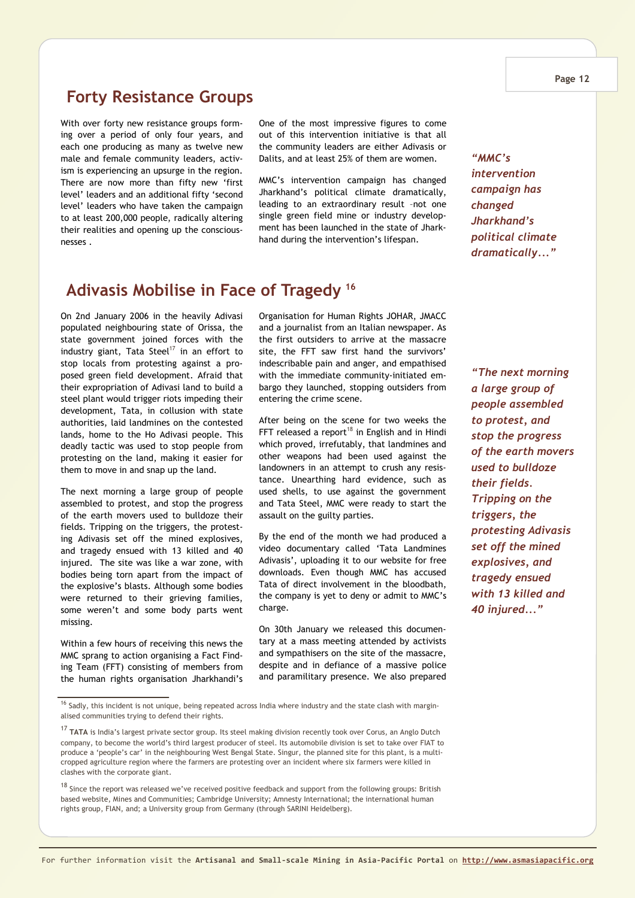#### **Page 12**

### **Forty Resistance Groups**

With over forty new resistance groups forming over a period of only four years, and each one producing as many as twelve new male and female community leaders, activism is experiencing an upsurge in the region. There are now more than fifty new 'first level' leaders and an additional fifty 'second level' leaders who have taken the campaign to at least 200,000 people, radically altering their realities and opening up the consciousnesses .

One of the most impressive figures to come out of this intervention initiative is that all the community leaders are either Adivasis or Dalits, and at least 25% of them are women.

MMC's intervention campaign has changed Jharkhand's political climate dramatically, leading to an extraordinary result –not one single green field mine or industry development has been launched in the state of Jharkhand during the intervention's lifespan.

### **Adivasis Mobilise in Face of Tragedy <sup>16</sup>**

On 2nd January 2006 in the heavily Adivasi populated neighbouring state of Orissa, the state government joined forces with the industry giant, Tata Steel<sup>17</sup> in an effort to stop locals from protesting against a proposed green field development. Afraid that their expropriation of Adivasi land to build a steel plant would trigger riots impeding their development, Tata, in collusion with state authorities, laid landmines on the contested lands, home to the Ho Adivasi people. This deadly tactic was used to stop people from protesting on the land, making it easier for them to move in and snap up the land.

The next morning a large group of people assembled to protest, and stop the progress of the earth movers used to bulldoze their fields. Tripping on the triggers, the protesting Adivasis set off the mined explosives, and tragedy ensued with 13 killed and 40 injured. The site was like a war zone, with bodies being torn apart from the impact of the explosive's blasts. Although some bodies were returned to their grieving families, some weren't and some body parts went missing.

Within a few hours of receiving this news the MMC sprang to action organising a Fact Finding Team (FFT) consisting of members from the human rights organisation Jharkhandi's Organisation for Human Rights JOHAR, JMACC and a journalist from an Italian newspaper. As the first outsiders to arrive at the massacre site, the FFT saw first hand the survivors' indescribable pain and anger, and empathised with the immediate community-initiated embargo they launched, stopping outsiders from entering the crime scene.

After being on the scene for two weeks the FFT released a report<sup>18</sup> in English and in Hindi which proved, irrefutably, that landmines and other weapons had been used against the landowners in an attempt to crush any resistance. Unearthing hard evidence, such as used shells, to use against the government and Tata Steel, MMC were ready to start the assault on the guilty parties.

By the end of the month we had produced a video documentary called 'Tata Landmines Adivasis', uploading it to our website for free downloads. Even though MMC has accused Tata of direct involvement in the bloodbath, the company is yet to deny or admit to MMC's charge.

On 30th January we released this documentary at a mass meeting attended by activists and sympathisers on the site of the massacre, despite and in defiance of a massive police and paramilitary presence. We also prepared

*"MMC's intervention campaign has changed Jharkhand's political climate dramatically..."* 

*"The next morning a large group of people assembled to protest, and stop the progress of the earth movers used to bulldoze their fields. Tripping on the triggers, the protesting Adivasis set off the mined explosives, and tragedy ensued with 13 killed and 40 injured..."* 

 $16$  Sadly, this incident is not unique, being repeated across India where industry and the state clash with marginalised communities trying to defend their rights.

<sup>17</sup> **TATA** is India's largest private sector group. Its steel making division recently took over Corus, an Anglo Dutch company, to become the world's third largest producer of steel. Its automobile division is set to take over FIAT to produce a 'people's car' in the neighbouring West Bengal State. Singur, the planned site for this plant, is a multicropped agriculture region where the farmers are protesting over an incident where six farmers were killed in clashes with the corporate giant.

 $18$  Since the report was released we've received positive feedback and support from the following groups: British based website, Mines and Communities; Cambridge University; Amnesty International; the international human rights group, FIAN, and; a University group from Germany (through SARINI Heidelberg).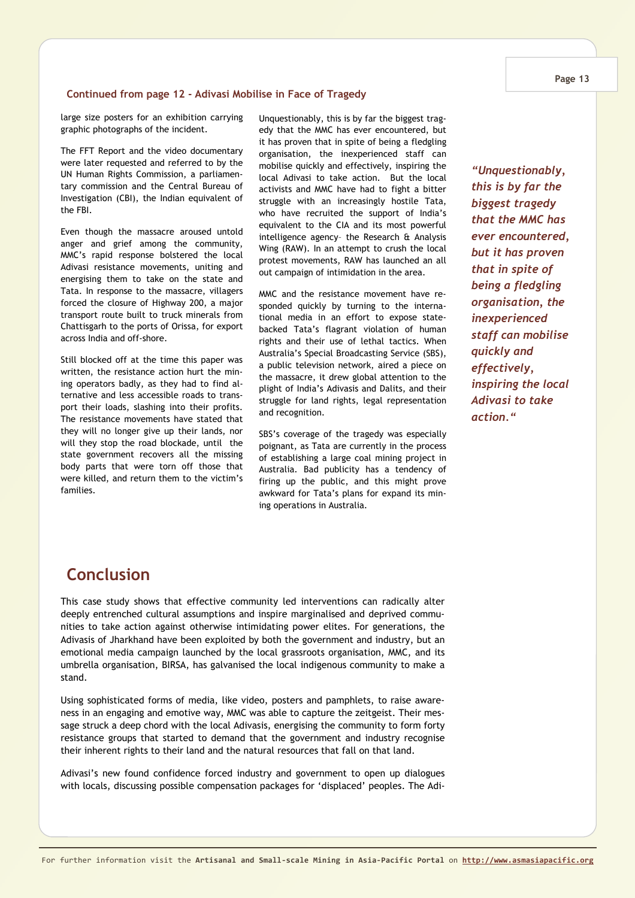#### **Continued from page 12 - Adivasi Mobilise in Face of Tragedy**

large size posters for an exhibition carrying graphic photographs of the incident.

The FFT Report and the video documentary were later requested and referred to by the UN Human Rights Commission, a parliamentary commission and the Central Bureau of Investigation (CBI), the Indian equivalent of the FBI.

Even though the massacre aroused untold anger and grief among the community, MMC's rapid response bolstered the local Adivasi resistance movements, uniting and energising them to take on the state and Tata. In response to the massacre, villagers forced the closure of Highway 200, a major transport route built to truck minerals from Chattisgarh to the ports of Orissa, for export across India and off-shore.

Still blocked off at the time this paper was written, the resistance action hurt the mining operators badly, as they had to find alternative and less accessible roads to transport their loads, slashing into their profits. The resistance movements have stated that they will no longer give up their lands, nor will they stop the road blockade, until the state government recovers all the missing body parts that were torn off those that were killed, and return them to the victim's families.

Unquestionably, this is by far the biggest tragedy that the MMC has ever encountered, but it has proven that in spite of being a fledgling organisation, the inexperienced staff can mobilise quickly and effectively, inspiring the local Adivasi to take action. But the local activists and MMC have had to fight a bitter struggle with an increasingly hostile Tata, who have recruited the support of India's equivalent to the CIA and its most powerful intelligence agency– the Research & Analysis Wing (RAW). In an attempt to crush the local protest movements, RAW has launched an all out campaign of intimidation in the area.

MMC and the resistance movement have responded quickly by turning to the international media in an effort to expose statebacked Tata's flagrant violation of human rights and their use of lethal tactics. When Australia's Special Broadcasting Service (SBS), a public television network, aired a piece on the massacre, it drew global attention to the plight of India's Adivasis and Dalits, and their struggle for land rights, legal representation and recognition.

SBS's coverage of the tragedy was especially poignant, as Tata are currently in the process of establishing a large coal mining project in Australia. Bad publicity has a tendency of firing up the public, and this might prove awkward for Tata's plans for expand its mining operations in Australia.

*"Unquestionably, this is by far the biggest tragedy that the MMC has ever encountered, but it has proven that in spite of being a fledgling organisation, the inexperienced staff can mobilise quickly and effectively, inspiring the local Adivasi to take action."* 

### **Conclusion**

This case study shows that effective community led interventions can radically alter deeply entrenched cultural assumptions and inspire marginalised and deprived communities to take action against otherwise intimidating power elites. For generations, the Adivasis of Jharkhand have been exploited by both the government and industry, but an emotional media campaign launched by the local grassroots organisation, MMC, and its umbrella organisation, BIRSA, has galvanised the local indigenous community to make a stand.

Using sophisticated forms of media, like video, posters and pamphlets, to raise awareness in an engaging and emotive way, MMC was able to capture the zeitgeist. Their message struck a deep chord with the local Adivasis, energising the community to form forty resistance groups that started to demand that the government and industry recognise their inherent rights to their land and the natural resources that fall on that land.

Adivasi's new found confidence forced industry and government to open up dialogues with locals, discussing possible compensation packages for 'displaced' peoples. The Adi-